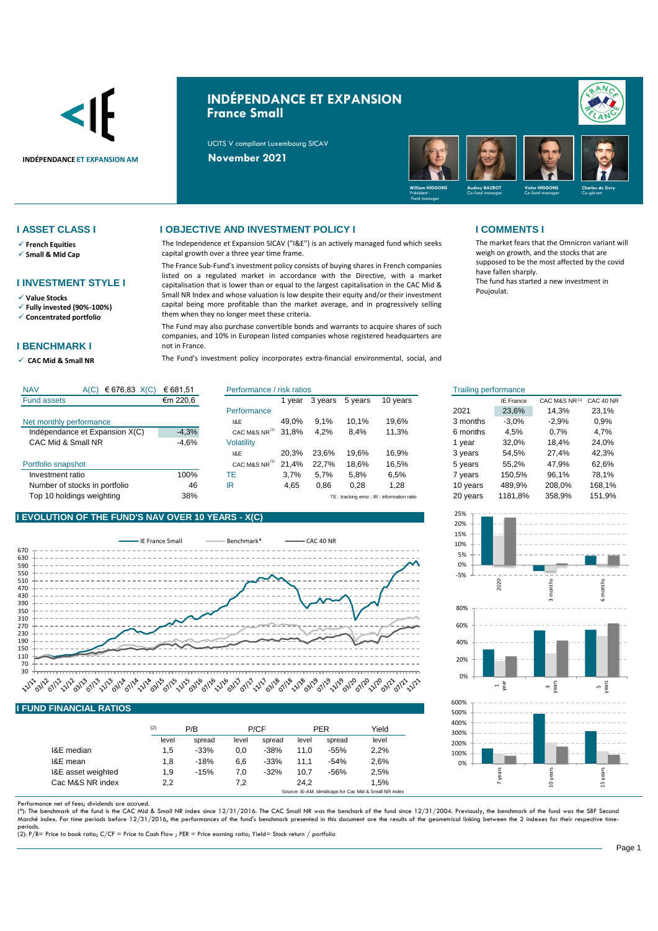

# **INDÉPENDANCE ET EXPANSION France Small**

UCITS V compliant Luxembourg SICAV



- ✓ **French Equities**
- ✓ **Small & Mid Cap**

### **I INVESTMENT STYLE I**

- ✓ **Value Stocks**
- ✓ **Fully invested (90%-100%)** ✓ **Concentrated portfolio**
- 

### **I BENCHMARK I**

✓ **CAC Mid & Small NR** 

### **I ASSET CLASS I I OBJECTIVE AND INVESTMENT POLICY I I COMMENTS I**

The Independence et Expansion SICAV ("I&E") is an actively managed fund which seeks capital growth over a three year time frame.

The France Sub-Fund's investment policy consists of buying shares in French companies listed on a regulated market in accordance with the Directive, with a market capitalisation that is lower than or equal to the largest capitalisation in the CAC Mid & Small NR Index and whose valuation is low despite their equity and/or their investment capital being more profitable than the market average, and in progressively selling them when they no longer meet these criteria.

The Fund may also purchase convertible bonds and warrants to acquire shares of such companies, and 10% in European listed companies whose registered headquarters are not in France.

The Fund's investment policy incorporates extra-financial environmental, social, and

The market fears that the Omnicron variant will weigh on growth, and the stocks that are supposed to be the most affected by the covid have fallen sharply. The fund has started a new investment in Poujoulat.

| <b>NAV</b><br>A(C)             | € 676,83 $X(C)$ | € 681,51 | Performance / risk ratios |        |         |         |                                           | Trailing performance |                  |               |           |
|--------------------------------|-----------------|----------|---------------------------|--------|---------|---------|-------------------------------------------|----------------------|------------------|---------------|-----------|
| <b>Fund assets</b>             |                 | €m 220,6 |                           | 1 vear | 3 years | 5 years | 10 years                                  |                      | <b>IE France</b> | CAC M&S NR(1) | CAC 40 NR |
|                                |                 |          | Performance               |        |         |         |                                           | 2021                 | 23.6%            | 14,3%         | 23,1%     |
| Net monthly performance        |                 |          | I&E                       | 49.0%  | 9.1%    | 10.1%   | 19.6%                                     | 3 months             | $-3.0%$          | $-2,9%$       | 0.9%      |
| Indépendance et Expansion X(C) |                 | $-4,3%$  | CAC M&S NR <sup>(1)</sup> | 31.8%  | 4,2%    | 8,4%    | 11,3%                                     | 6 months             | 4.5%             | 0.7%          | 4,7%      |
| CAC Mid & Small NR             |                 | $-4,6%$  | <b>Volatility</b>         |        |         |         |                                           | vear                 | 32.0%            | 18.4%         | 24,0%     |
|                                |                 |          | I&E                       | 20.3%  | 23.6%   | 19.6%   | 16.9%                                     | 3 years              | 54.5%            | 27.4%         | 42,3%     |
| Portfolio snapshot             |                 |          | CAC M&S NR <sup>1</sup>   | 21.4%  | 22.7%   | 18.6%   | 16,5%                                     | 5 years              | 55.2%            | 47,9%         | 62,6%     |
| Investment ratio               |                 | 100%     | ТE                        | 3.7%   | 5.7%    | 5,8%    | 6,5%                                      | vears                | 150.5%           | 96.1%         | 78.1%     |
| Number of stocks in portfolio  |                 | 46       | IR                        | 4,65   | 0,86    | 0,28    | 1.28                                      | 10 years             | 489.9%           | 208.0%        | 168,1%    |
| Top 10 holdings weighting      |                 | 38%      |                           |        |         |         | TE: tracking error: IR: information ratio | 20 years             | 1181.8%          | 358.9%        | 151.9%    |

## **I EVOLUTION OF THE FUND'S NAV OVER 10 YEARS - X(C)**



### **I FUND FINANCIAL RATIOS**

|                    | (2)   | P/B    |       | P/CF   |       | <b>PER</b> | Yield |
|--------------------|-------|--------|-------|--------|-------|------------|-------|
|                    | level | spread | level | spread | level | spread     | level |
| I&E median         | 1,5   | $-33%$ | 0.0   | $-38%$ | 11.0  | $-55%$     | 2.2%  |
| I&E mean           | 1,8   | $-18%$ | 6.6   | $-33%$ | 11.1  | $-54%$     | 2,6%  |
| I&E asset weighted | 1.9   | $-15%$ | 7.0   | $-32%$ | 10.7  | $-56%$     | 2.5%  |
| Cac M&S NR index   | 2.2   |        | 7.2   |        | 24.2  |            | 1.5%  |

Performance net of fees; dividends are accrued.<br>(\*): The benchmark of the fund is the CAC Mid & Small NR index since 12/31/2016. The CAC Small NR was the benchark of the fund since 12/31/2004. Previously, the benchmark of Marché index. For time periods before 12/31/2016, the performances of the fund's benchmark presented in this document are the results of the geometrical linking between the 2 indexes for their respective time-

periods. (2): P/B= Price to book ratio; C/CF = Price to Cash Flow ; PER = Price earning ratio; Yield= Stock return / portfolio

| isk ratios |         |         | <b>Trailing performance</b> |          |                  |               |           |
|------------|---------|---------|-----------------------------|----------|------------------|---------------|-----------|
| 1 year     | 3 years | 5 years | 10 years                    |          | <b>IE France</b> | CAC M&S NR(1) | CAC 40 NR |
|            |         |         |                             | 2021     | 23,6%            | 14.3%         | 23,1%     |
| 49,0%      | 9.1%    | 10.1%   | 19,6%                       | 3 months | $-3,0%$          | $-2.9%$       | 0,9%      |
| 31,8%      | 4.2%    | 8.4%    | 11,3%                       | 6 months | 4.5%             | 0.7%          | 4,7%      |
|            |         |         |                             | 1 year   | 32.0%            | 18.4%         | 24,0%     |
| 20,3%      | 23.6%   | 19.6%   | 16,9%                       | 3 years  | 54,5%            | 27,4%         | 42,3%     |
| 21,4%      | 22,7%   | 18.6%   | 16,5%                       | 5 years  | 55.2%            | 47.9%         | 62,6%     |
| 3,7%       | 5,7%    | 5,8%    | 6,5%                        | 7 years  | 150.5%           | 96.1%         | 78,1%     |
| 4,65       | 0.86    | 0,28    | 1,28                        | 10 years | 489,9%           | 208,0%        | 168,1%    |
|            |         |         |                             |          |                  |               |           |